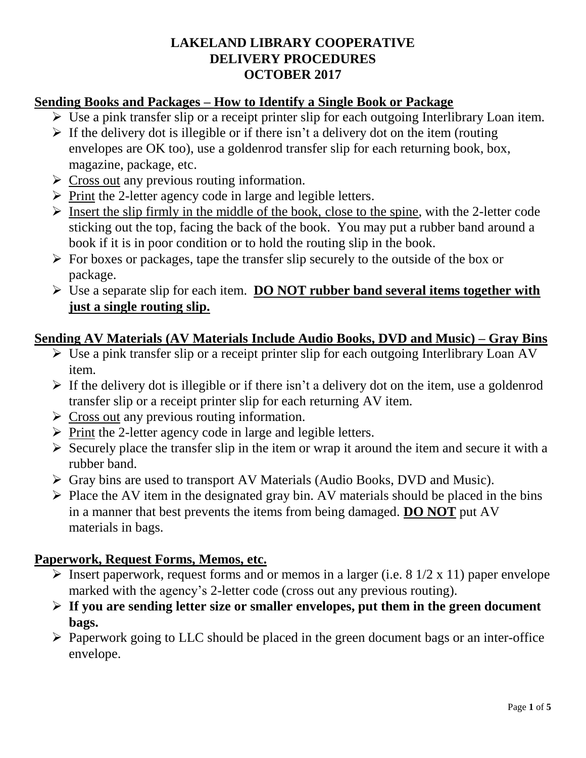# **LAKELAND LIBRARY COOPERATIVE DELIVERY PROCEDURES OCTOBER 2017**

# **Sending Books and Packages – How to Identify a Single Book or Package**

- $\triangleright$  Use a pink transfer slip or a receipt printer slip for each outgoing Interlibrary Loan item.
- $\triangleright$  If the delivery dot is illegible or if there isn't a delivery dot on the item (routing envelopes are OK too), use a goldenrod transfer slip for each returning book, box, magazine, package, etc.
- $\triangleright$  Cross out any previous routing information.
- $\triangleright$  Print the 2-letter agency code in large and legible letters.
- $\triangleright$  Insert the slip firmly in the middle of the book, close to the spine, with the 2-letter code sticking out the top, facing the back of the book. You may put a rubber band around a book if it is in poor condition or to hold the routing slip in the book.
- $\triangleright$  For boxes or packages, tape the transfer slip securely to the outside of the box or package.
- Use a separate slip for each item. **DO NOT rubber band several items together with just a single routing slip.**

#### **Sending AV Materials (AV Materials Include Audio Books, DVD and Music) – Gray Bins**

- Use a pink transfer slip or a receipt printer slip for each outgoing Interlibrary Loan AV item.
- $\triangleright$  If the delivery dot is illegible or if there isn't a delivery dot on the item, use a goldenrod transfer slip or a receipt printer slip for each returning AV item.
- $\triangleright$  Cross out any previous routing information.
- $\triangleright$  Print the 2-letter agency code in large and legible letters.
- $\triangleright$  Securely place the transfer slip in the item or wrap it around the item and secure it with a rubber band.
- Gray bins are used to transport AV Materials (Audio Books, DVD and Music).
- $\triangleright$  Place the AV item in the designated gray bin. AV materials should be placed in the bins in a manner that best prevents the items from being damaged. **DO NOT** put AV materials in bags.

#### **Paperwork, Request Forms, Memos, etc.**

- Insert paperwork, request forms and or memos in a larger (i.e.  $8 \frac{1}{2} \times 11$ ) paper envelope marked with the agency's 2-letter code (cross out any previous routing).
- **If you are sending letter size or smaller envelopes, put them in the green document bags.**
- $\triangleright$  Paperwork going to LLC should be placed in the green document bags or an inter-office envelope.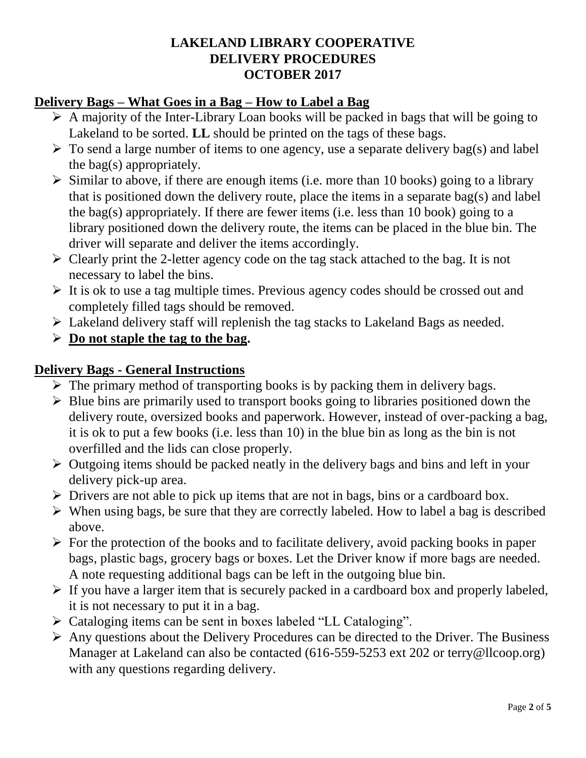# **LAKELAND LIBRARY COOPERATIVE DELIVERY PROCEDURES OCTOBER 2017**

# **Delivery Bags – What Goes in a Bag – How to Label a Bag**

- $\triangleright$  A majority of the Inter-Library Loan books will be packed in bags that will be going to Lakeland to be sorted. **LL** should be printed on the tags of these bags.
- $\triangleright$  To send a large number of items to one agency, use a separate delivery bag(s) and label the bag(s) appropriately.
- $\triangleright$  Similar to above, if there are enough items (i.e. more than 10 books) going to a library that is positioned down the delivery route, place the items in a separate bag(s) and label the bag(s) appropriately. If there are fewer items (i.e. less than 10 book) going to a library positioned down the delivery route, the items can be placed in the blue bin. The driver will separate and deliver the items accordingly.
- $\triangleright$  Clearly print the 2-letter agency code on the tag stack attached to the bag. It is not necessary to label the bins.
- $\triangleright$  It is ok to use a tag multiple times. Previous agency codes should be crossed out and completely filled tags should be removed.
- Lakeland delivery staff will replenish the tag stacks to Lakeland Bags as needed.
- **Do not staple the tag to the bag.**

# **Delivery Bags - General Instructions**

- $\triangleright$  The primary method of transporting books is by packing them in delivery bags.
- $\triangleright$  Blue bins are primarily used to transport books going to libraries positioned down the delivery route, oversized books and paperwork. However, instead of over-packing a bag, it is ok to put a few books (i.e. less than 10) in the blue bin as long as the bin is not overfilled and the lids can close properly.
- $\triangleright$  Outgoing items should be packed neatly in the delivery bags and bins and left in your delivery pick-up area.
- $\triangleright$  Drivers are not able to pick up items that are not in bags, bins or a cardboard box.
- $\triangleright$  When using bags, be sure that they are correctly labeled. How to label a bag is described above.
- $\triangleright$  For the protection of the books and to facilitate delivery, avoid packing books in paper bags, plastic bags, grocery bags or boxes. Let the Driver know if more bags are needed. A note requesting additional bags can be left in the outgoing blue bin.
- $\triangleright$  If you have a larger item that is securely packed in a cardboard box and properly labeled, it is not necessary to put it in a bag.
- Cataloging items can be sent in boxes labeled "LL Cataloging".
- $\triangleright$  Any questions about the Delivery Procedures can be directed to the Driver. The Business Manager at Lakeland can also be contacted (616-559-5253 ext 202 or terry@llcoop.org) with any questions regarding delivery.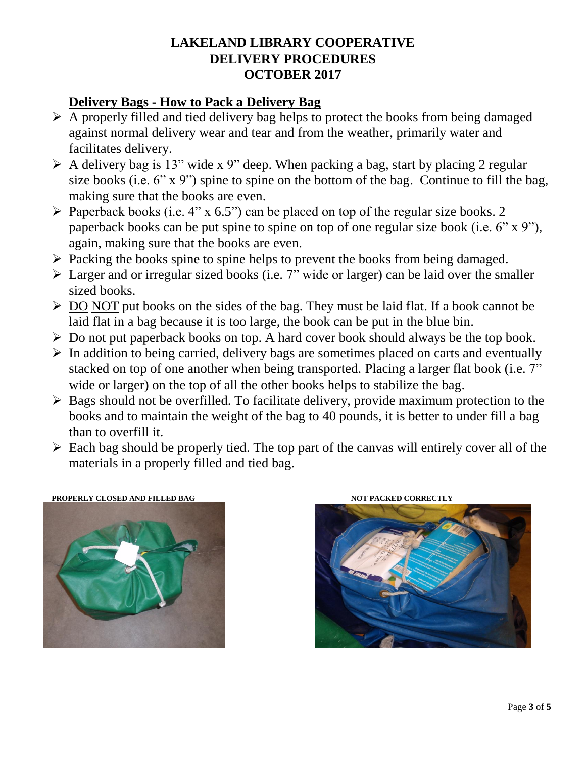# **LAKELAND LIBRARY COOPERATIVE DELIVERY PROCEDURES OCTOBER 2017**

# **Delivery Bags - How to Pack a Delivery Bag**

- $\triangleright$  A properly filled and tied delivery bag helps to protect the books from being damaged against normal delivery wear and tear and from the weather, primarily water and facilitates delivery.
- $\triangleright$  A delivery bag is 13" wide x 9" deep. When packing a bag, start by placing 2 regular size books (i.e. 6" x 9") spine to spine on the bottom of the bag. Continue to fill the bag, making sure that the books are even.
- $\triangleright$  Paperback books (i.e. 4" x 6.5") can be placed on top of the regular size books. 2 paperback books can be put spine to spine on top of one regular size book (i.e. 6" x 9"), again, making sure that the books are even.
- $\triangleright$  Packing the books spine to spine helps to prevent the books from being damaged.
- $\triangleright$  Larger and or irregular sized books (i.e. 7" wide or larger) can be laid over the smaller sized books.
- $\triangleright$  DO NOT put books on the sides of the bag. They must be laid flat. If a book cannot be laid flat in a bag because it is too large, the book can be put in the blue bin.
- $\triangleright$  Do not put paperback books on top. A hard cover book should always be the top book.
- $\triangleright$  In addition to being carried, delivery bags are sometimes placed on carts and eventually stacked on top of one another when being transported. Placing a larger flat book (i.e. 7" wide or larger) on the top of all the other books helps to stabilize the bag.
- $\triangleright$  Bags should not be overfilled. To facilitate delivery, provide maximum protection to the books and to maintain the weight of the bag to 40 pounds, it is better to under fill a bag than to overfill it.
- $\triangleright$  Each bag should be properly tied. The top part of the canvas will entirely cover all of the materials in a properly filled and tied bag.



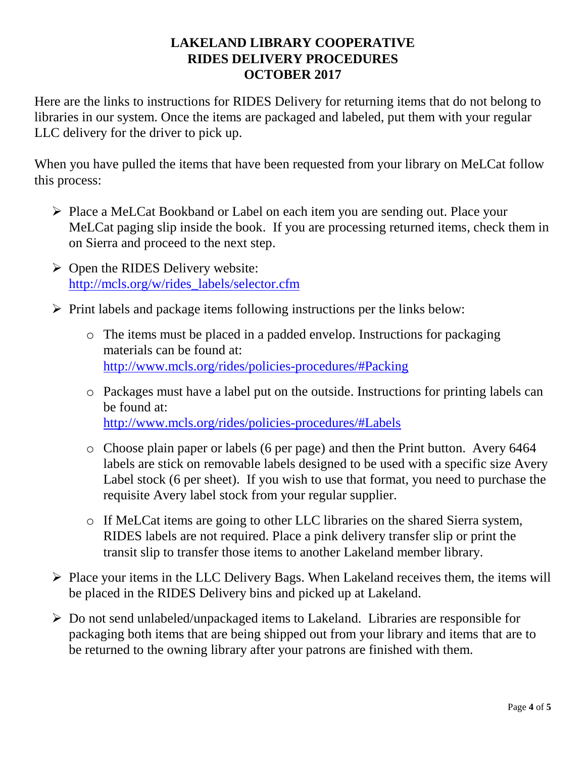# **LAKELAND LIBRARY COOPERATIVE RIDES DELIVERY PROCEDURES OCTOBER 2017**

Here are the links to instructions for RIDES Delivery for returning items that do not belong to libraries in our system. Once the items are packaged and labeled, put them with your regular LLC delivery for the driver to pick up.

When you have pulled the items that have been requested from your library on MeLCat follow this process:

- Place a MeLCat Bookband or Label on each item you are sending out. Place your MeLCat paging slip inside the book. If you are processing returned items, check them in on Sierra and proceed to the next step.
- $\triangleright$  Open the RIDES Delivery website: [http://mcls.org/w/rides\\_labels/selector.cfm](http://mcls.org/w/rides_labels/selector.cfm)
- $\triangleright$  Print labels and package items following instructions per the links below:
	- o The items must be placed in a padded envelop. Instructions for packaging materials can be found at: <http://www.mcls.org/rides/policies-procedures/#Packing>
	- o Packages must have a label put on the outside. Instructions for printing labels can be found at: <http://www.mcls.org/rides/policies-procedures/#Labels>
	- o Choose plain paper or labels (6 per page) and then the Print button. Avery 6464 labels are stick on removable labels designed to be used with a specific size Avery Label stock (6 per sheet). If you wish to use that format, you need to purchase the requisite Avery label stock from your regular supplier.
	- o If MeLCat items are going to other LLC libraries on the shared Sierra system, RIDES labels are not required. Place a pink delivery transfer slip or print the transit slip to transfer those items to another Lakeland member library.
- $\triangleright$  Place your items in the LLC Delivery Bags. When Lakeland receives them, the items will be placed in the RIDES Delivery bins and picked up at Lakeland.
- Do not send unlabeled/unpackaged items to Lakeland. Libraries are responsible for packaging both items that are being shipped out from your library and items that are to be returned to the owning library after your patrons are finished with them.